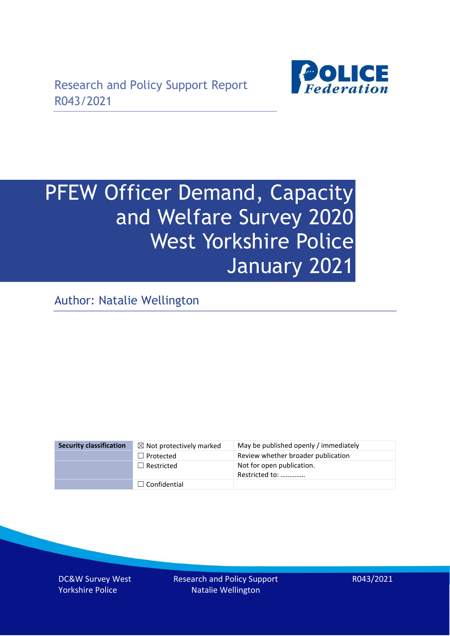

# PFEW Officer Demand, Capacity and Welfare Survey 2020 West Yorkshire Police January 2021

Author: Natalie Wellington

| <b>Security classification</b> | $\boxtimes$ Not protectively marked | May be published openly / immediately       |
|--------------------------------|-------------------------------------|---------------------------------------------|
|                                | $\Box$ Protected                    | Review whether broader publication          |
|                                | $\Box$ Restricted                   | Not for open publication.<br>Restricted to: |
|                                | $\Box$ Confidential                 |                                             |

DC&W Survey West Yorkshire Police

Research and Policy Support Natalie Wellington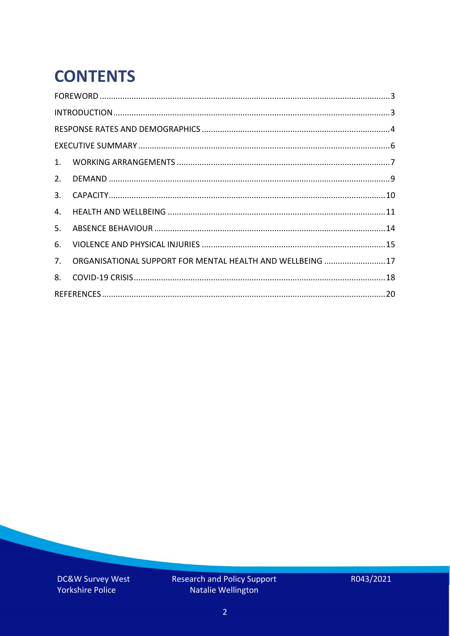# **CONTENTS**

| 2.          |                                                            |  |
|-------------|------------------------------------------------------------|--|
| 3.          |                                                            |  |
| 4.          |                                                            |  |
| 5.          |                                                            |  |
| 6.          |                                                            |  |
| $7_{\cdot}$ | ORGANISATIONAL SUPPORT FOR MENTAL HEALTH AND WELLBEING  17 |  |
| 8.          |                                                            |  |
|             |                                                            |  |

DC&W Survey West Yorkshire Police

Research and Policy Support<br>Natalie Wellington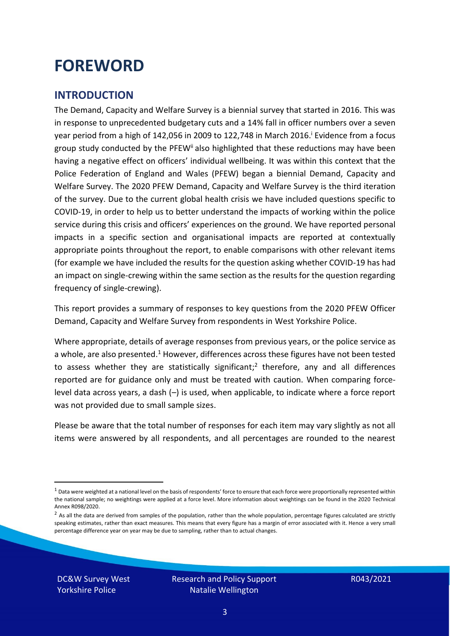### <span id="page-2-0"></span>**FOREWORD**

#### <span id="page-2-1"></span>**INTRODUCTION**

The Demand, Capacity and Welfare Survey is a biennial survey that started in 2016. This was in response to unprecedented budgetary cuts and a 14% fall in officer numbers over a seven year period from a high of 142,056 in 2009 to 122,748 in March 2016. <sup>i</sup> Evidence from a focus group study conducted by the PFEW<sup>ii</sup> also highlighted that these reductions may have been having a negative effect on officers' individual wellbeing. It was within this context that the Police Federation of England and Wales (PFEW) began a biennial Demand, Capacity and Welfare Survey. The 2020 PFEW Demand, Capacity and Welfare Survey is the third iteration of the survey. Due to the current global health crisis we have included questions specific to COVID-19, in order to help us to better understand the impacts of working within the police service during this crisis and officers' experiences on the ground. We have reported personal impacts in a specific section and organisational impacts are reported at contextually appropriate points throughout the report, to enable comparisons with other relevant items (for example we have included the results for the question asking whether COVID-19 has had an impact on single-crewing within the same section as the results for the question regarding frequency of single-crewing).

This report provides a summary of responses to key questions from the 2020 PFEW Officer Demand, Capacity and Welfare Survey from respondents in West Yorkshire Police.

Where appropriate, details of average responses from previous years, or the police service as a whole, are also presented.<sup>1</sup> However, differences across these figures have not been tested to assess whether they are statistically significant;<sup>2</sup> therefore, any and all differences reported are for guidance only and must be treated with caution. When comparing forcelevel data across years, a dash (–) is used, when applicable, to indicate where a force report was not provided due to small sample sizes.

Please be aware that the total number of responses for each item may vary slightly as not all items were answered by all respondents, and all percentages are rounded to the nearest

DC&W Survey West Yorkshire Police

 $1$  Data were weighted at a national level on the basis of respondents' force to ensure that each force were proportionally represented within the national sample; no weightings were applied at a force level. More information about weightings can be found in the 2020 Technical Annex R098/2020.

 $2$  As all the data are derived from samples of the population, rather than the whole population, percentage figures calculated are strictly speaking estimates, rather than exact measures. This means that every figure has a margin of error associated with it. Hence a very small percentage difference year on year may be due to sampling, rather than to actual changes.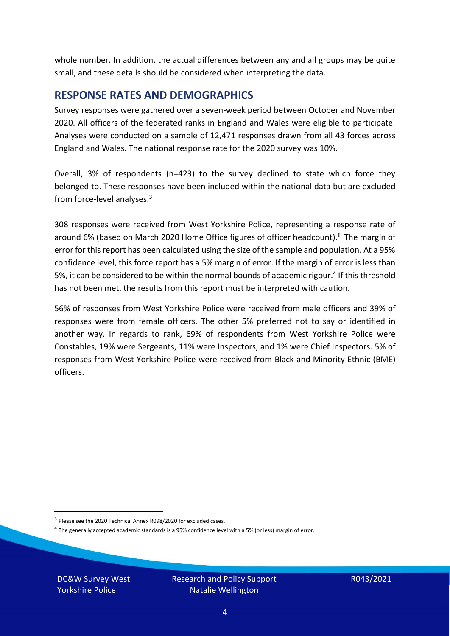whole number. In addition, the actual differences between any and all groups may be quite small, and these details should be considered when interpreting the data.

#### <span id="page-3-0"></span>**RESPONSE RATES AND DEMOGRAPHICS**

Survey responses were gathered over a seven-week period between October and November 2020. All officers of the federated ranks in England and Wales were eligible to participate. Analyses were conducted on a sample of 12,471 responses drawn from all 43 forces across England and Wales. The national response rate for the 2020 survey was 10%.

Overall, 3% of respondents (n=423) to the survey declined to state which force they belonged to. These responses have been included within the national data but are excluded from force-level analyses. $3$ 

308 responses were received from West Yorkshire Police, representing a response rate of around 6% (based on March 2020 Home Office figures of officer headcount). III The margin of error for this report has been calculated using the size of the sample and population. At a 95% confidence level, this force report has a 5% margin of error. If the margin of error is less than 5%, it can be considered to be within the normal bounds of academic rigour.<sup>4</sup> If this threshold has not been met, the results from this report must be interpreted with caution.

56% of responses from West Yorkshire Police were received from male officers and 39% of responses were from female officers. The other 5% preferred not to say or identified in another way. In regards to rank, 69% of respondents from West Yorkshire Police were Constables, 19% were Sergeants, 11% were Inspectors, and 1% were Chief Inspectors. 5% of responses from West Yorkshire Police were received from Black and Minority Ethnic (BME) officers.

DC&W Survey West Yorkshire Police

<sup>&</sup>lt;sup>3</sup> Please see the 2020 Technical Annex R098/2020 for excluded cases.

<sup>&</sup>lt;sup>4</sup> The generally accepted academic standards is a 95% confidence level with a 5% (or less) margin of error.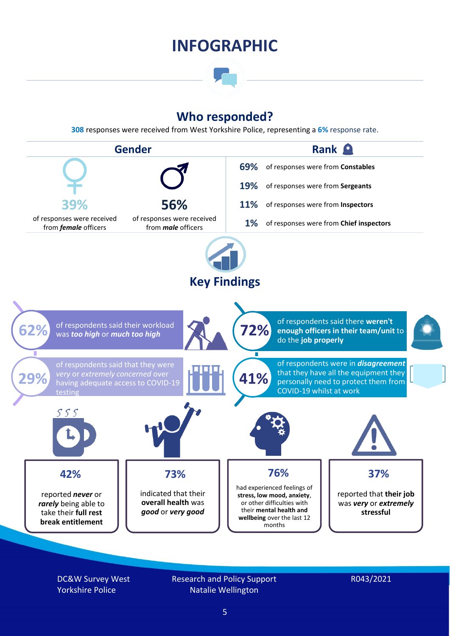### **INFOGRAPHIC**

### **Who responded?**

**308** responses were received from West Yorkshire Police, representing a **6%** response rate.



DC&W Survey West Yorkshire Police

Research and Policy Support Natalie Wellington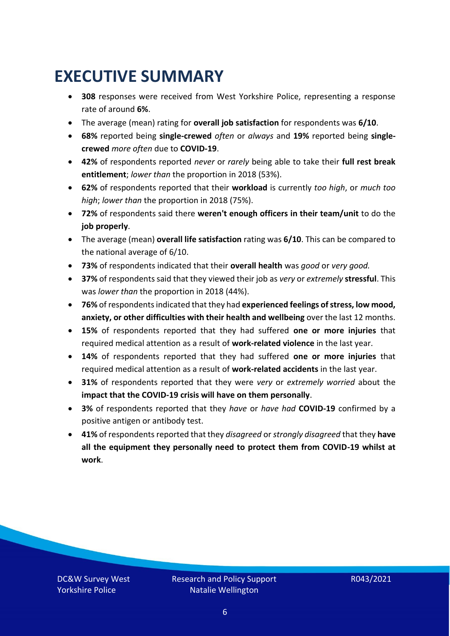### <span id="page-5-0"></span>**EXECUTIVE SUMMARY**

- **308** responses were received from West Yorkshire Police, representing a response rate of around **6%**.
- The average (mean) rating for **overall job satisfaction** for respondents was **6/10**.
- **68%** reported being **single-crewed** *often* or *always* and **19%** reported being **singlecrewed** *more often* due to **COVID-19**.
- **42%** of respondents reported *never* or *rarely* being able to take their **full rest break entitlement**; *lower than* the proportion in 2018 (53%).
- **62%** of respondents reported that their **workload** is currently *too high*, or *much too high*; *lower than* the proportion in 2018 (75%).
- **72%** of respondents said there **weren't enough officers in their team/unit** to do the **job properly**.
- The average (mean) **overall life satisfaction** rating was **6/10**. This can be compared to the national average of 6/10.
- **73%** of respondents indicated that their **overall health** was *good* or *very good.*
- **37%** of respondents said that they viewed their job as *very* or *extremely* **stressful**. This was *lower than* the proportion in 2018 (44%).
- **76%** of respondents indicated that they had **experienced feelings of stress, low mood, anxiety, or other difficulties with their health and wellbeing** over the last 12 months.
- **15%** of respondents reported that they had suffered **one or more injuries** that required medical attention as a result of **work-related violence** in the last year.
- **14%** of respondents reported that they had suffered **one or more injuries** that required medical attention as a result of **work-related accidents** in the last year.
- **31%** of respondents reported that they were *very* or *extremely worried* about the **impact that the COVID-19 crisis will have on them personally**.
- **3%** of respondents reported that they *have* or *have had* **COVID-19** confirmed by a positive antigen or antibody test.
- **41%** of respondents reported that they *disagreed* or *strongly disagreed* that they **have all the equipment they personally need to protect them from COVID-19 whilst at work**.

DC&W Survey West Yorkshire Police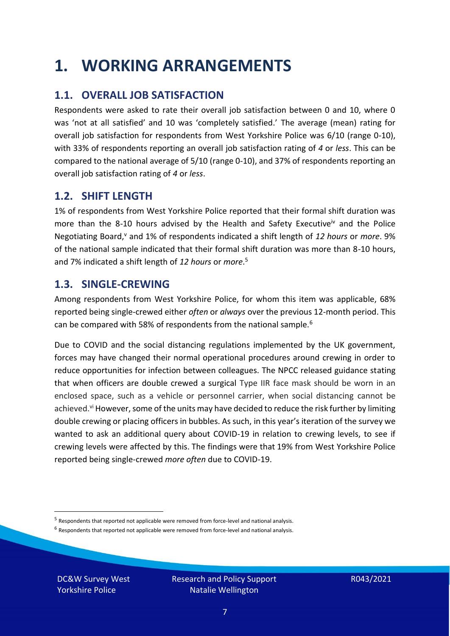### <span id="page-6-0"></span>**1. WORKING ARRANGEMENTS**

### **1.1. OVERALL JOB SATISFACTION**

Respondents were asked to rate their overall job satisfaction between 0 and 10, where 0 was 'not at all satisfied' and 10 was 'completely satisfied.' The average (mean) rating for overall job satisfaction for respondents from West Yorkshire Police was 6/10 (range 0-10), with 33% of respondents reporting an overall job satisfaction rating of *4* or *less*. This can be compared to the national average of 5/10 (range 0-10), and 37% of respondents reporting an overall job satisfaction rating of *4* or *less*.

### **1.2. SHIFT LENGTH**

1% of respondents from West Yorkshire Police reported that their formal shift duration was more than the 8-10 hours advised by the Health and Safety Executive<sup>iv</sup> and the Police Negotiating Board,<sup>v</sup> and 1% of respondents indicated a shift length of 12 hours or *more*. 9% of the national sample indicated that their formal shift duration was more than 8-10 hours, and 7% indicated a shift length of *12 hours* or *more*. 5

#### **1.3. SINGLE-CREWING**

Among respondents from West Yorkshire Police, for whom this item was applicable, 68% reported being single-crewed either *often* or *always* over the previous 12-month period. This can be compared with 58% of respondents from the national sample.<sup>6</sup>

Due to COVID and the social distancing regulations implemented by the UK government, forces may have changed their normal operational procedures around crewing in order to reduce opportunities for infection between colleagues. The NPCC released guidance stating that when officers are double crewed a surgical Type IIR face mask should be worn in an enclosed space, such as a vehicle or personnel carrier, when social distancing cannot be achieved.<sup>vi</sup> However, some of the units may have decided to reduce the risk further by limiting double crewing or placing officers in bubbles. As such, in this year's iteration of the survey we wanted to ask an additional query about COVID-19 in relation to crewing levels, to see if crewing levels were affected by this. The findings were that 19% from West Yorkshire Police reported being single-crewed *more often* due to COVID-19.

 $<sup>6</sup>$  Respondents that reported not applicable were removed from force-level and national analysis.</sup>

DC&W Survey West Yorkshire Police

<sup>&</sup>lt;sup>5</sup> Respondents that reported not applicable were removed from force-level and national analysis.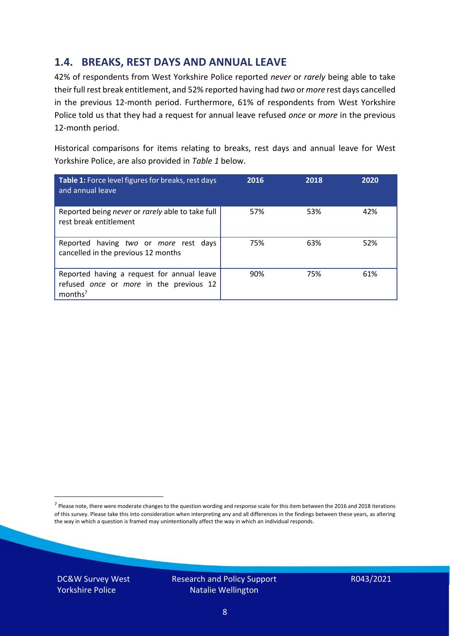### **1.4. BREAKS, REST DAYS AND ANNUAL LEAVE**

42% of respondents from West Yorkshire Police reported *never* or *rarely* being able to take their full rest break entitlement, and 52% reported having had *two* or *more* rest days cancelled in the previous 12-month period. Furthermore, 61% of respondents from West Yorkshire Police told us that they had a request for annual leave refused *once* or *more* in the previous 12-month period.

Historical comparisons for items relating to breaks, rest days and annual leave for West Yorkshire Police, are also provided in *Table 1* below.

| Table 1: Force level figures for breaks, rest days<br>and annual leave                                       | 2016 | 2018 | 2020 |
|--------------------------------------------------------------------------------------------------------------|------|------|------|
| Reported being never or rarely able to take full<br>rest break entitlement                                   | 57%  | 53%  | 42%  |
| Reported having two or more rest days<br>cancelled in the previous 12 months                                 | 75%  | 63%  | 52%  |
| Reported having a request for annual leave<br>refused once or more in the previous 12<br>months <sup>7</sup> | 90%  | 75%  | 61%  |

DC&W Survey West Yorkshire Police



<sup>&</sup>lt;sup>7</sup> Please note, there were moderate changes to the question wording and response scale for this item between the 2016 and 2018 iterations of this survey. Please take this into consideration when interpreting any and all differences in the findings between these years, as altering the way in which a question is framed may unintentionally affect the way in which an individual responds.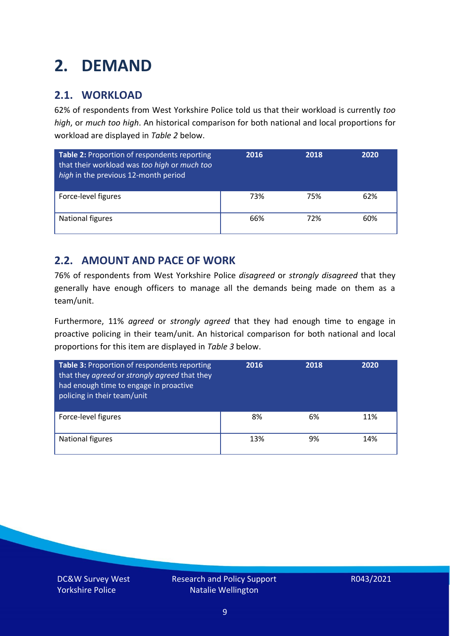### <span id="page-8-0"></span>**2. DEMAND**

### **2.1. WORKLOAD**

62% of respondents from West Yorkshire Police told us that their workload is currently *too high*, or *much too high*. An historical comparison for both national and local proportions for workload are displayed in *Table 2* below.

| Table 2: Proportion of respondents reporting<br>that their workload was too high or much too<br>high in the previous 12-month period | 2016 | 2018 | 2020 |
|--------------------------------------------------------------------------------------------------------------------------------------|------|------|------|
| Force-level figures                                                                                                                  | 73%  | 75%  | 62%  |
| National figures                                                                                                                     | 66%  | 72%  | 60%  |

### **2.2. AMOUNT AND PACE OF WORK**

76% of respondents from West Yorkshire Police *disagreed* or *strongly disagreed* that they generally have enough officers to manage all the demands being made on them as a team/unit.

Furthermore, 11% *agreed* or *strongly agreed* that they had enough time to engage in proactive policing in their team/unit. An historical comparison for both national and local proportions for this item are displayed in *Table 3* below.

| Table 3: Proportion of respondents reporting<br>that they agreed or strongly agreed that they<br>had enough time to engage in proactive<br>policing in their team/unit | 2016 | 2018 | 2020 |
|------------------------------------------------------------------------------------------------------------------------------------------------------------------------|------|------|------|
| Force-level figures                                                                                                                                                    | 8%   | 6%   | 11%  |
| National figures                                                                                                                                                       | 13%  | 9%   | 14%  |

DC&W Survey West Yorkshire Police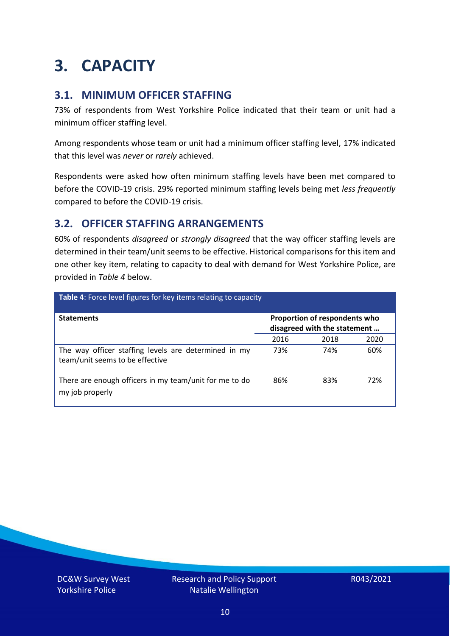### <span id="page-9-0"></span>**3. CAPACITY**

### **3.1. MINIMUM OFFICER STAFFING**

73% of respondents from West Yorkshire Police indicated that their team or unit had a minimum officer staffing level.

Among respondents whose team or unit had a minimum officer staffing level, 17% indicated that this level was *never* or *rarely* achieved.

Respondents were asked how often minimum staffing levels have been met compared to before the COVID-19 crisis. 29% reported minimum staffing levels being met *less frequently* compared to before the COVID-19 crisis.

### **3.2. OFFICER STAFFING ARRANGEMENTS**

60% of respondents *disagreed* or *strongly disagreed* that the way officer staffing levels are determined in their team/unit seems to be effective. Historical comparisons for this item and one other key item, relating to capacity to deal with demand for West Yorkshire Police, are provided in *Table 4* below.

| Table 4: Force level figures for key items relating to capacity                         |      |                                                               |      |
|-----------------------------------------------------------------------------------------|------|---------------------------------------------------------------|------|
| <b>Statements</b>                                                                       |      | Proportion of respondents who<br>disagreed with the statement |      |
|                                                                                         | 2016 | 2018                                                          | 2020 |
| The way officer staffing levels are determined in my<br>team/unit seems to be effective | 73%  | 74%                                                           | 60%  |
| There are enough officers in my team/unit for me to do<br>my job properly               | 86%  | 83%                                                           | 72%  |

DC&W Survey West Yorkshire Police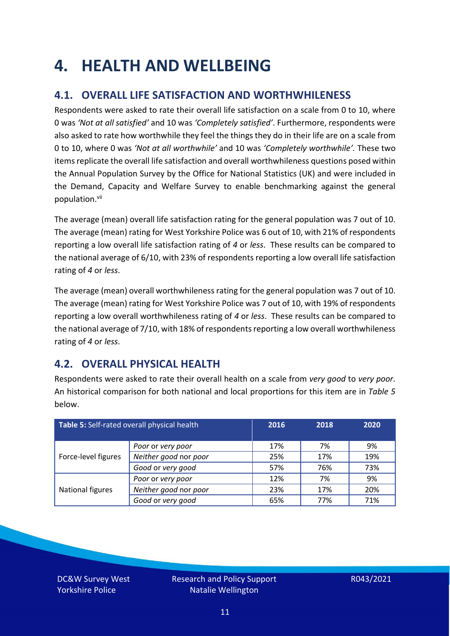### <span id="page-10-0"></span>**4. HEALTH AND WELLBEING**

### **4.1. OVERALL LIFE SATISFACTION AND WORTHWHILENESS**

Respondents were asked to rate their overall life satisfaction on a scale from 0 to 10, where 0 was *'Not at all satisfied'* and 10 was *'Completely satisfied'*. Furthermore, respondents were also asked to rate how worthwhile they feel the things they do in their life are on a scale from 0 to 10, where 0 was *'Not at all worthwhile'* and 10 was *'Completely worthwhile'.* These two items replicate the overall life satisfaction and overall worthwhileness questions posed within the Annual Population Survey by the Office for National Statistics (UK) and were included in the Demand, Capacity and Welfare Survey to enable benchmarking against the general population. vii

The average (mean) overall life satisfaction rating for the general population was 7 out of 10. The average (mean) rating for West Yorkshire Police was 6 out of 10, with 21% of respondents reporting a low overall life satisfaction rating of *4* or *less*. These results can be compared to the national average of 6/10, with 23% of respondents reporting a low overall life satisfaction rating of *4* or *less*.

The average (mean) overall worthwhileness rating for the general population was 7 out of 10. The average (mean) rating for West Yorkshire Police was 7 out of 10, with 19% of respondents reporting a low overall worthwhileness rating of *4* or *less*. These results can be compared to the national average of 7/10, with 18% of respondents reporting a low overall worthwhileness rating of *4* or *less*.

### **4.2. OVERALL PHYSICAL HEALTH**

Respondents were asked to rate their overall health on a scale from *very good* to *very poor*. An historical comparison for both national and local proportions for this item are in *Table 5* below.

| Table 5: Self-rated overall physical health |                       | 2016 | 2018 | 2020 |
|---------------------------------------------|-----------------------|------|------|------|
|                                             | Poor or very poor     | 17%  | 7%   | 9%   |
| Force-level figures                         | Neither good nor poor | 25%  | 17%  | 19%  |
|                                             | Good or very good     | 57%  | 76%  | 73%  |
|                                             | Poor or very poor     | 12%  | 7%   | 9%   |
| National figures                            | Neither good nor poor | 23%  | 17%  | 20%  |
|                                             | Good or very good     | 65%  | 77%  | 71%  |

DC&W Survey West Yorkshire Police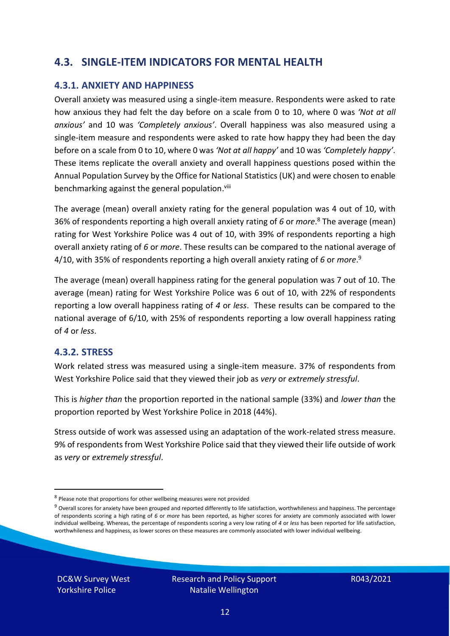### **4.3. SINGLE-ITEM INDICATORS FOR MENTAL HEALTH**

#### **4.3.1. ANXIETY AND HAPPINESS**

Overall anxiety was measured using a single-item measure. Respondents were asked to rate how anxious they had felt the day before on a scale from 0 to 10, where 0 was *'Not at all anxious'* and 10 was *'Completely anxious'*. Overall happiness was also measured using a single-item measure and respondents were asked to rate how happy they had been the day before on a scale from 0 to 10, where 0 was *'Not at all happy'* and 10 was *'Completely happy'*. These items replicate the overall anxiety and overall happiness questions posed within the Annual Population Survey by the Office for National Statistics (UK) and were chosen to enable benchmarking against the general population.<sup>viii</sup>

The average (mean) overall anxiety rating for the general population was 4 out of 10, with 36% of respondents reporting a high overall anxiety rating of *6* or *more*. <sup>8</sup> The average (mean) rating for West Yorkshire Police was 4 out of 10, with 39% of respondents reporting a high overall anxiety rating of *6* or *more*. These results can be compared to the national average of 4/10, with 35% of respondents reporting a high overall anxiety rating of *6* or *more*. 9

The average (mean) overall happiness rating for the general population was 7 out of 10. The average (mean) rating for West Yorkshire Police was 6 out of 10, with 22% of respondents reporting a low overall happiness rating of *4* or *less*. These results can be compared to the national average of 6/10, with 25% of respondents reporting a low overall happiness rating of *4* or *less*.

#### **4.3.2. STRESS**

Work related stress was measured using a single-item measure. 37% of respondents from West Yorkshire Police said that they viewed their job as *very* or *extremely stressful*.

This is *higher than* the proportion reported in the national sample (33%) and *lower than* the proportion reported by West Yorkshire Police in 2018 (44%).

Stress outside of work was assessed using an adaptation of the work-related stress measure. 9% of respondents from West Yorkshire Police said that they viewed their life outside of work as *very* or *extremely stressful*.

DC&W Survey West Yorkshire Police

<sup>&</sup>lt;sup>8</sup> Please note that proportions for other wellbeing measures were not provided

 $9$  Overall scores for anxiety have been grouped and reported differently to life satisfaction, worthwhileness and happiness. The percentage of respondents scoring a high rating of *6* or *more* has been reported, as higher scores for anxiety are commonly associated with lower individual wellbeing. Whereas, the percentage of respondents scoring a very low rating of *4* or *less* has been reported for life satisfaction, worthwhileness and happiness, as lower scores on these measures are commonly associated with lower individual wellbeing.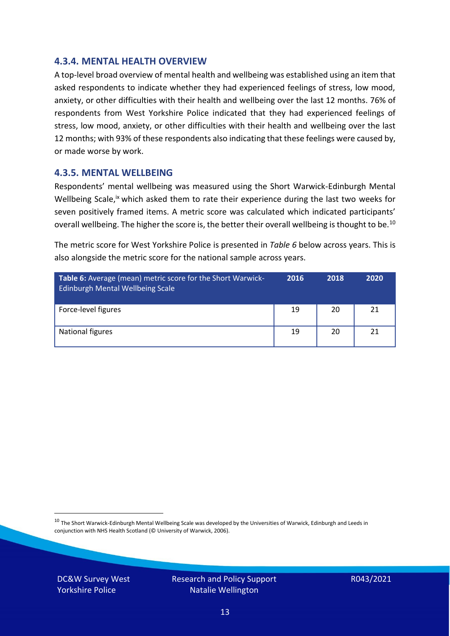#### **4.3.4. MENTAL HEALTH OVERVIEW**

A top-level broad overview of mental health and wellbeing was established using an item that asked respondents to indicate whether they had experienced feelings of stress, low mood, anxiety, or other difficulties with their health and wellbeing over the last 12 months. 76% of respondents from West Yorkshire Police indicated that they had experienced feelings of stress, low mood, anxiety, or other difficulties with their health and wellbeing over the last 12 months; with 93% of these respondents also indicating that these feelings were caused by, or made worse by work.

#### **4.3.5. MENTAL WELLBEING**

Respondents' mental wellbeing was measured using the Short Warwick-Edinburgh Mental Wellbeing Scale,<sup>ix</sup> which asked them to rate their experience during the last two weeks for seven positively framed items. A metric score was calculated which indicated participants' overall wellbeing. The higher the score is, the better their overall wellbeing is thought to be.<sup>10</sup>

The metric score for West Yorkshire Police is presented in *Table 6* below across years. This is also alongside the metric score for the national sample across years.

| <b>Table 6:</b> Average (mean) metric score for the Short Warwick-<br>Edinburgh Mental Wellbeing Scale | 2016 | 2018 | 2020 |
|--------------------------------------------------------------------------------------------------------|------|------|------|
| Force-level figures                                                                                    | 19   | 20   | 21   |
| National figures                                                                                       | 19   | 20   | 21   |

 $10$  The Short Warwick-Edinburgh Mental Wellbeing Scale was developed by the Universities of Warwick, Edinburgh and Leeds in conjunction with NHS Health Scotland (© University of Warwick, 2006).

DC&W Survey West Yorkshire Police

Research and Policy Support Natalie Wellington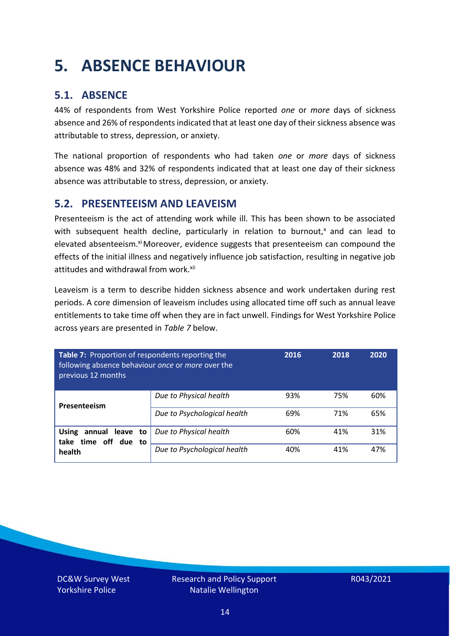### <span id="page-13-0"></span>**5. ABSENCE BEHAVIOUR**

### **5.1. ABSENCE**

44% of respondents from West Yorkshire Police reported *one* or *more* days of sickness absence and 26% of respondents indicated that at least one day of their sickness absence was attributable to stress, depression, or anxiety.

The national proportion of respondents who had taken *one* or *more* days of sickness absence was 48% and 32% of respondents indicated that at least one day of their sickness absence was attributable to stress, depression, or anxiety.

### **5.2. PRESENTEEISM AND LEAVEISM**

Presenteeism is the act of attending work while ill. This has been shown to be associated with subsequent health decline, particularly in relation to burnout, $x$  and can lead to elevated absenteeism.<sup>xi</sup> Moreover, evidence suggests that presenteeism can compound the effects of the initial illness and negatively influence job satisfaction, resulting in negative job attitudes and withdrawal from work.<sup>xii</sup>

Leaveism is a term to describe hidden sickness absence and work undertaken during rest periods. A core dimension of leaveism includes using allocated time off such as annual leave entitlements to take time off when they are in fact unwell. Findings for West Yorkshire Police across years are presented in *Table 7* below.

| Table 7: Proportion of respondents reporting the<br>following absence behaviour once or more over the<br>previous 12 months |                             | 2016 | 2018 | 2020 |
|-----------------------------------------------------------------------------------------------------------------------------|-----------------------------|------|------|------|
| Presenteeism                                                                                                                | Due to Physical health      | 93%  | 75%  | 60%  |
|                                                                                                                             | Due to Psychological health | 69%  | 71%  | 65%  |
| annual leave to<br><b>Using</b><br>time off due to<br>take<br>health                                                        | Due to Physical health      | 60%  | 41%  | 31%  |
|                                                                                                                             | Due to Psychological health | 40%  | 41%  | 47%  |

DC&W Survey West Yorkshire Police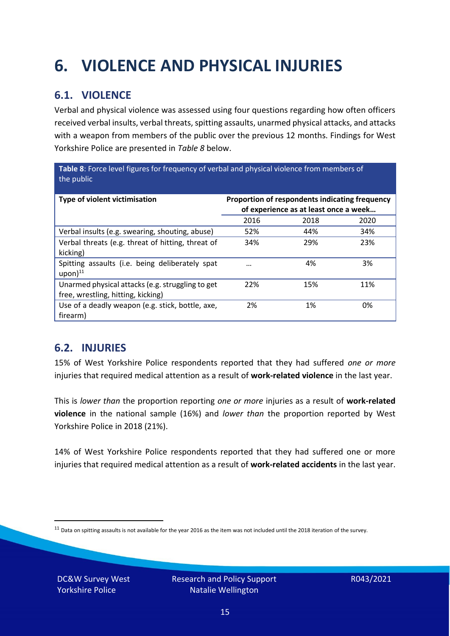## <span id="page-14-0"></span>**6. VIOLENCE AND PHYSICAL INJURIES**

### **6.1. VIOLENCE**

Verbal and physical violence was assessed using four questions regarding how often officers received verbal insults, verbal threats, spitting assaults, unarmed physical attacks, and attacks with a weapon from members of the public over the previous 12 months. Findings for West Yorkshire Police are presented in *Table 8* below.

**Table 8**: Force level figures for frequency of verbal and physical violence from members of the public

| Type of violent victimisation                                                          | Proportion of respondents indicating frequency<br>of experience as at least once a week |      |      |
|----------------------------------------------------------------------------------------|-----------------------------------------------------------------------------------------|------|------|
|                                                                                        | 2016                                                                                    | 2018 | 2020 |
| Verbal insults (e.g. swearing, shouting, abuse)                                        | 52%                                                                                     | 44%  | 34%  |
| Verbal threats (e.g. threat of hitting, threat of<br>kicking)                          | 34%                                                                                     | 29%  | 23%  |
| Spitting assaults (i.e. being deliberately spat<br>$upon)$ <sup>11</sup>               |                                                                                         | 4%   | 3%   |
| Unarmed physical attacks (e.g. struggling to get<br>free, wrestling, hitting, kicking) | 22%                                                                                     | 15%  | 11%  |
| Use of a deadly weapon (e.g. stick, bottle, axe,<br>firearm)                           | 2%                                                                                      | 1%   | 0%   |

### **6.2. INJURIES**

15% of West Yorkshire Police respondents reported that they had suffered *one or more* injuries that required medical attention as a result of **work-related violence** in the last year.

This is *lower than* the proportion reporting *one or more* injuries as a result of **work-related violence** in the national sample (16%) and *lower than* the proportion reported by West Yorkshire Police in 2018 (21%).

14% of West Yorkshire Police respondents reported that they had suffered one or more injuries that required medical attention as a result of **work-related accidents** in the last year.

DC&W Survey West Yorkshire Police

 $11$  Data on spitting assaults is not available for the year 2016 as the item was not included until the 2018 iteration of the survey.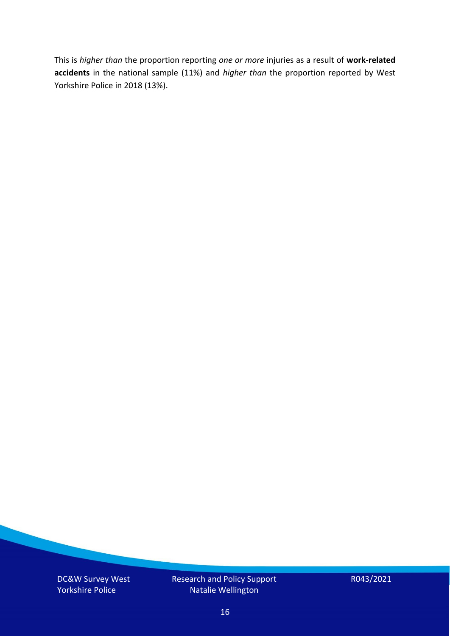This is *higher than* the proportion reporting *one or more* injuries as a result of **work-related accidents** in the national sample (11%) and *higher than* the proportion reported by West Yorkshire Police in 2018 (13%).

DC&W Survey West Yorkshire Police

Research and Policy Support Natalie Wellington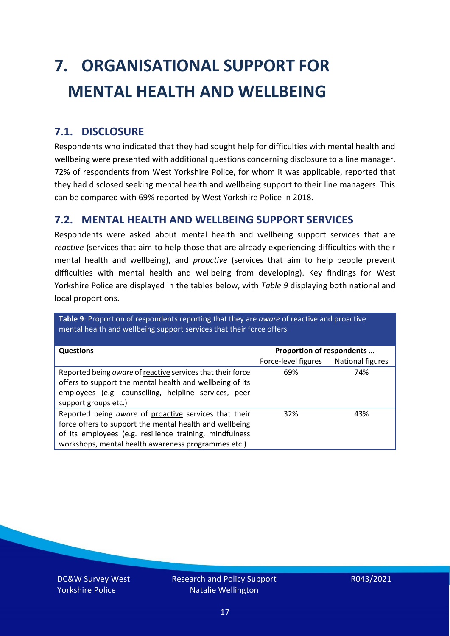# <span id="page-16-0"></span>**7. ORGANISATIONAL SUPPORT FOR MENTAL HEALTH AND WELLBEING**

### **7.1. DISCLOSURE**

Respondents who indicated that they had sought help for difficulties with mental health and wellbeing were presented with additional questions concerning disclosure to a line manager. 72% of respondents from West Yorkshire Police, for whom it was applicable, reported that they had disclosed seeking mental health and wellbeing support to their line managers. This can be compared with 69% reported by West Yorkshire Police in 2018.

#### **7.2. MENTAL HEALTH AND WELLBEING SUPPORT SERVICES**

Respondents were asked about mental health and wellbeing support services that are *reactive* (services that aim to help those that are already experiencing difficulties with their mental health and wellbeing), and *proactive* (services that aim to help people prevent difficulties with mental health and wellbeing from developing). Key findings for West Yorkshire Police are displayed in the tables below, with *Table 9* displaying both national and local proportions.

**Table 9**: Proportion of respondents reporting that they are *aware* of reactive and proactive mental health and wellbeing support services that their force offers

| Proportion of respondents<br><b>Questions</b>                                                                                                                                                                                      |                     |                  |
|------------------------------------------------------------------------------------------------------------------------------------------------------------------------------------------------------------------------------------|---------------------|------------------|
|                                                                                                                                                                                                                                    | Force-level figures | National figures |
| Reported being aware of reactive services that their force<br>offers to support the mental health and wellbeing of its<br>employees (e.g. counselling, helpline services, peer<br>support groups etc.)                             | 69%                 | 74%              |
| Reported being aware of proactive services that their<br>force offers to support the mental health and wellbeing<br>of its employees (e.g. resilience training, mindfulness<br>workshops, mental health awareness programmes etc.) | 32%                 | 43%              |

DC&W Survey West Yorkshire Police

Research and Policy Support Natalie Wellington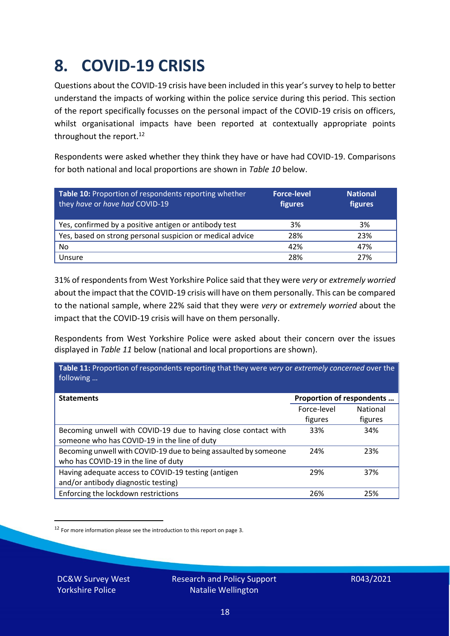### <span id="page-17-0"></span>**8. COVID-19 CRISIS**

Questions about the COVID-19 crisis have been included in this year's survey to help to better understand the impacts of working within the police service during this period. This section of the report specifically focusses on the personal impact of the COVID-19 crisis on officers, whilst organisational impacts have been reported at contextually appropriate points throughout the report.<sup>12</sup>

Respondents were asked whether they think they have or have had COVID-19. Comparisons for both national and local proportions are shown in *Table 10* below.

| Table 10: Proportion of respondents reporting whether<br>they have or have had COVID-19 | <b>Force-level</b><br>figures | <b>National</b><br>figures |
|-----------------------------------------------------------------------------------------|-------------------------------|----------------------------|
| Yes, confirmed by a positive antigen or antibody test                                   | 3%                            | 3%                         |
| Yes, based on strong personal suspicion or medical advice                               | 28%                           | 23%                        |
| No                                                                                      | 42%                           | 47%                        |
| Unsure                                                                                  | 28%                           | 27%                        |

31% of respondents from West Yorkshire Police said that they were *very* or *extremely worried* about the impact that the COVID-19 crisis will have on them personally. This can be compared to the national sample, where 22% said that they were *very* or *extremely worried* about the impact that the COVID-19 crisis will have on them personally.

Respondents from West Yorkshire Police were asked about their concern over the issues displayed in *Table 11* below (national and local proportions are shown).

| Table 11: Proportion of respondents reporting that they were very or extremely concerned over the<br>following |                           |                            |
|----------------------------------------------------------------------------------------------------------------|---------------------------|----------------------------|
| <b>Statements</b>                                                                                              | Proportion of respondents |                            |
|                                                                                                                | Force-level<br>figures    | <b>National</b><br>figures |
| Becoming unwell with COVID-19 due to having close contact with<br>someone who has COVID-19 in the line of duty | 33%                       | 34%                        |
| Becoming unwell with COVID-19 due to being assaulted by someone<br>who has COVID-19 in the line of duty        | 24%                       | 23%                        |
| Having adequate access to COVID-19 testing (antigen<br>and/or antibody diagnostic testing)                     | 29%                       | 37%                        |
| Enforcing the lockdown restrictions                                                                            | 26%                       | 25%                        |

<sup>12</sup> For more information please see the introduction to this report on page 3.

DC&W Survey West Yorkshire Police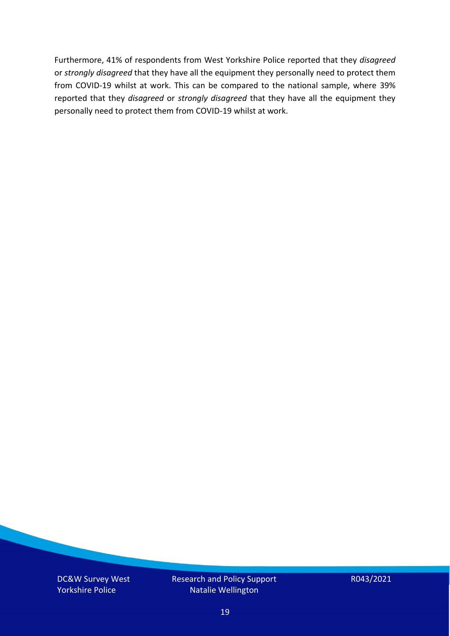Furthermore, 41% of respondents from West Yorkshire Police reported that they *disagreed*  or *strongly disagreed* that they have all the equipment they personally need to protect them from COVID-19 whilst at work. This can be compared to the national sample, where 39% reported that they *disagreed* or *strongly disagreed* that they have all the equipment they personally need to protect them from COVID-19 whilst at work.

DC&W Survey West Yorkshire Police

Research and Policy Support Natalie Wellington